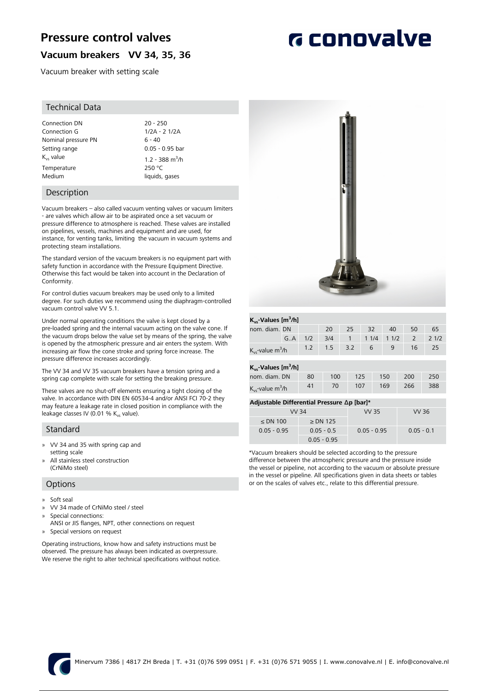# **Pressure control valves**

## **Vacuum breakers VV 34, 35, 36**

Vacuum breaker with setting scale

#### Technical Data

| Connection DN         | $20 - 250$                  |
|-----------------------|-----------------------------|
| Connection G          | 1/2A - 2 1/2A               |
| Nominal pressure PN   | $6 - 40$                    |
| Setting range         | $0.05 - 0.95$ ba            |
| $K_{\text{ve}}$ value | 1.2 - 388 m <sup>3</sup> /h |
| Temperature           | 250 °C                      |
| Medium                | liquids, gases              |

#### Description

Vacuum breakers – also called vacuum venting valves or vacuum limiters - are valves which allow air to be aspirated once a set vacuum or pressure difference to atmosphere is reached. These valves are installed on pipelines, vessels, machines and equipment and are used, for instance, for venting tanks, limiting the vacuum in vacuum systems and protecting steam installations.

The standard version of the vacuum breakers is no equipment part with safety function in accordance with the Pressure Equipment Directive. Otherwise this fact would be taken into account in the Declaration of Conformity.

For control duties vacuum breakers may be used only to a limited degree. For such duties we recommend using the diaphragm-controlled vacuum control valve VV 5.1.

Under normal operating conditions the valve is kept closed by a pre-loaded spring and the internal vacuum acting on the valve cone. If the vacuum drops below the value set by means of the spring, the valve is opened by the atmospheric pressure and air enters the system. With increasing air flow the cone stroke and spring force increase. The pressure difference increases accordingly.

The VV 34 and VV 35 vacuum breakers have a tension spring and a spring cap complete with scale for setting the breaking pressure.

These valves are no shut-off elements ensuring a tight closing of the valve. In accordance with DIN EN 60534-4 and/or ANSI FCI 70-2 they may feature a leakage rate in closed position in compliance with the leakage classes IV (0.01 %  $K_{vs}$  value).

#### Standard

- » VV 34 and 35 with spring cap and setting scale
- All stainless steel construction (CrNiMo steel)

#### **Options**

- » Soft seal
- » VV 34 made of CrNiMo steel / steel
- » Special connections:
- ANSI or JIS flanges, NPT, other connections on request » Special versions on request

Operating instructions, know how and safety instructions must be observed. The pressure has always been indicated as overpressure. We reserve the right to alter technical specifications without notice.



#### **Kvs-Values [m<sup>3</sup> /h]** nom. diam. DN 20 25 32 40 50 65 G..A 1/2 3/4 1 1 1/4 1 1/2 2 2 1/2  $K_{vs}$ -value m<sup>3</sup>/h /h 1.2 1.5 3.2 <sup>6</sup> <sup>9</sup> <sup>16</sup> <sup>25</sup>

| $K_{\text{vs}}$ -Values [m <sup>3</sup> /h] |    |     |     |     |     |     |  |  |
|---------------------------------------------|----|-----|-----|-----|-----|-----|--|--|
| nom. diam. DN                               | 80 | 100 | 125 | 150 | 200 | 250 |  |  |
| $K_{vs}$ -value m <sup>3</sup> /h           | 41 | 70  | 107 | 169 | 266 | 388 |  |  |

#### **Adjustable Differential Pressure Δp [bar]\***

| VV 34         |               | VV 35         | VV 36        |  |  |  |  |  |
|---------------|---------------|---------------|--------------|--|--|--|--|--|
| $\leq$ DN 100 | $\geq$ DN 125 |               |              |  |  |  |  |  |
| $0.05 - 0.95$ | $0.05 - 0.5$  | $0.05 - 0.95$ | $0.05 - 0.1$ |  |  |  |  |  |
|               | $0.05 - 0.95$ |               |              |  |  |  |  |  |

\*Vacuum breakers should be selected according to the pressure difference between the atmospheric pressure and the pressure inside the vessel or pipeline, not according to the vacuum or absolute pressure in the vessel or pipeline. All specifications given in data sheets or tables or on the scales of valves etc., relate to this differential pressure.

# **G** conovalve

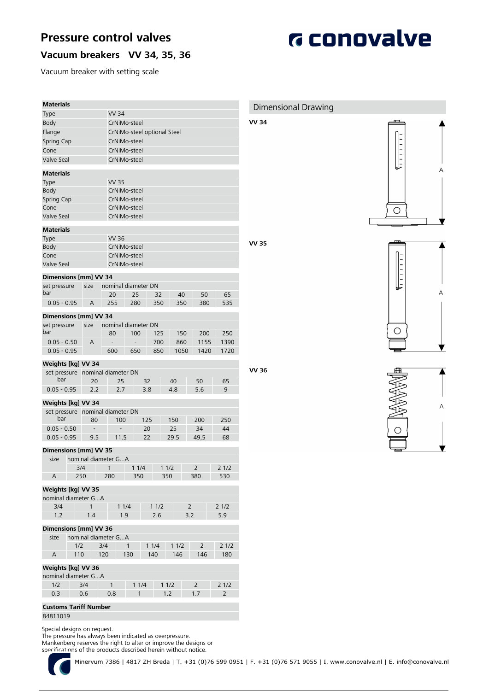# **Pressure control valves**

**G** conovalve

## **Vacuum breakers VV 34, 35, 36**

Vacuum breaker with setting scale

| <b>Materials</b>                     |                          |                          |                             |      |      |                |                | Dimensional Drawing |
|--------------------------------------|--------------------------|--------------------------|-----------------------------|------|------|----------------|----------------|---------------------|
| <b>Type</b>                          |                          | <b>VV 34</b>             |                             |      |      |                |                |                     |
| <b>Body</b>                          |                          | CrNiMo-steel             |                             |      |      |                |                | VV 34               |
| Flange                               |                          |                          | CrNiMo-steel optional Steel |      |      |                |                |                     |
| Spring Cap                           |                          | CrNiMo-steel             |                             |      |      |                |                |                     |
| Cone                                 |                          | CrNiMo-steel             |                             |      |      |                |                |                     |
| Valve Seal                           |                          | CrNiMo-steel             |                             |      |      |                |                |                     |
| <b>Materials</b>                     |                          |                          |                             |      |      |                |                |                     |
| <b>Type</b>                          |                          | <b>VV 35</b>             |                             |      |      |                |                |                     |
| Body                                 |                          | CrNiMo-steel             |                             |      |      |                |                |                     |
| Spring Cap                           |                          | CrNiMo-steel             |                             |      |      |                |                |                     |
| Cone                                 |                          | CrNiMo-steel             |                             |      |      |                |                |                     |
| Valve Seal                           |                          | CrNiMo-steel             |                             |      |      |                |                |                     |
| <b>Materials</b>                     |                          |                          |                             |      |      |                |                |                     |
| <b>Type</b>                          |                          | <b>VV 36</b>             |                             |      |      |                |                |                     |
| Body                                 |                          | CrNiMo-steel             |                             |      |      |                |                | VV 35               |
| Cone                                 |                          | CrNiMo-steel             |                             |      |      |                |                |                     |
| Valve Seal                           |                          | CrNiMo-steel             |                             |      |      |                |                |                     |
| Dimensions [mm] VV 34                |                          |                          |                             |      |      |                |                |                     |
| set pressure                         | size                     | nominal diameter DN      |                             |      |      |                |                |                     |
| bar                                  |                          | 20                       | 25                          | 32   | 40   | 50             | 65             |                     |
| $0.05 - 0.95$                        | Α                        | 255                      | 280                         | 350  | 350  | 380            | 535            |                     |
| Dimensions [mm] VV 34                |                          |                          |                             |      |      |                |                |                     |
| set pressure                         | size                     | nominal diameter DN      |                             |      |      |                |                |                     |
| bar                                  |                          | 80                       | 100                         | 125  | 150  | 200            | 250            |                     |
| $0.05 - 0.50$                        | Α                        |                          |                             | 700  | 860  | 1155           | 1390           |                     |
| $0.05 - 0.95$                        |                          | 600                      | 650                         | 850  | 1050 | 1420           | 1720           |                     |
| Weights [kg] VV 34                   |                          |                          |                             |      |      |                |                |                     |
| set pressure nominal diameter DN     |                          |                          |                             |      |      |                |                | VV 36               |
| bar                                  | 20                       | 25                       |                             | 32   | 40   | 50             | 65             |                     |
| $0.05 - 0.95$                        | 2.2                      | 2.7                      |                             | 3.8  | 4.8  | 5.6            | 9              |                     |
| Weights [kg] VV 34                   |                          |                          |                             |      |      |                |                |                     |
| set pressure nominal diameter DN     |                          |                          |                             |      |      |                |                |                     |
| bar                                  | 80                       | 100                      |                             | 125  | 150  | 200            | 250            |                     |
| $0.05 - 0.50$                        | $\overline{\phantom{a}}$ | $\overline{\phantom{0}}$ |                             | 20   | 25   | 34             | 44             |                     |
| $0.05 - 0.95$                        | 9.5                      | 11.5                     |                             | 22   | 29.5 | 49,5           | 68             |                     |
| Dimensions [mm] VV 35                |                          |                          |                             |      |      |                |                |                     |
| size                                 |                          | nominal diameter GA      |                             |      |      |                |                |                     |
|                                      | 3/4                      | $\mathbf{1}$             | 11/4                        |      | 11/2 | $\overline{2}$ | 21/2           |                     |
| A                                    | 250                      | 280                      | 350                         |      | 350  | 380            | 530            |                     |
| Weights [kg] VV 35                   |                          |                          |                             |      |      |                |                |                     |
| nominal diameter GA                  |                          |                          |                             |      |      |                |                |                     |
| 3/4                                  | $\mathbf{1}$             | 11/4                     |                             | 11/2 |      | $\overline{2}$ | 21/2           |                     |
| 1.2                                  | $1.4\,$                  | 1.9                      |                             | 2.6  |      | 3.2            | 5.9            |                     |
|                                      |                          |                          |                             |      |      |                |                |                     |
| <b>Dimensions [mm] VV 36</b><br>size |                          | nominal diameter GA      |                             |      |      |                |                |                     |
| 1/2                                  |                          | 3/4                      | $\mathbf{1}$                | 11/4 | 11/2 | 2              | 21/2           |                     |
| 110<br>A                             |                          | 120                      | 130                         | 140  | 146  | 146            | 180            |                     |
|                                      |                          |                          |                             |      |      |                |                |                     |
| Weights [kg] VV 36                   |                          |                          |                             |      |      |                |                |                     |
| nominal diameter GA<br>1/2           | 3/4                      | $\mathbf{1}$             | 11/4                        |      | 11/2 | $\overline{2}$ | 21/2           |                     |
| 0.3                                  | 0.6                      | 0.8                      | 1                           |      | 1.2  | 1.7            | $\overline{2}$ |                     |
|                                      |                          |                          |                             |      |      |                |                |                     |
| <b>Customs Tariff Number</b>         |                          |                          |                             |      |      |                |                |                     |
| 84811019                             |                          |                          |                             |      |      |                |                |                     |

Special designs on request.

The pressure has always been indicated as overpressure.

Mankenberg reserves the right to alter or improve the designs or

specifications of the products described herein without notice.